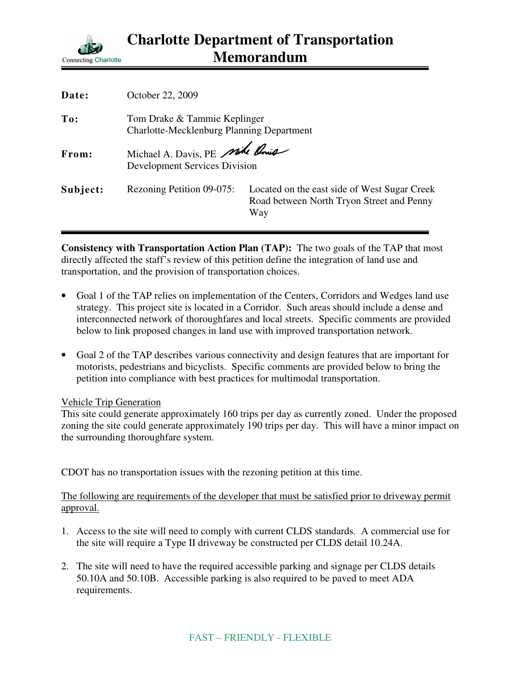

| Date:    | October 22, 2009                                                                 |                                                                                                  |
|----------|----------------------------------------------------------------------------------|--------------------------------------------------------------------------------------------------|
| To:      | Tom Drake & Tammie Keplinger<br><b>Charlotte-Mecklenburg Planning Department</b> |                                                                                                  |
| From:    | Michael A. Davis, PE Mike Rouis<br><b>Development Services Division</b>          |                                                                                                  |
| Subject: | Rezoning Petition 09-075:                                                        | Located on the east side of West Sugar Creek<br>Road between North Tryon Street and Penny<br>Way |

**Consistency with Transportation Action Plan (TAP):** The two goals of the TAP that most directly affected the staff's review of this petition define the integration of land use and transportation, and the provision of transportation choices.

- Goal 1 of the TAP relies on implementation of the Centers, Corridors and Wedges land use strategy. This project site is located in a Corridor. Such areas should include a dense and interconnected network of thoroughfares and local streets. Specific comments are provided below to link proposed changes in land use with improved transportation network.
- Goal 2 of the TAP describes various connectivity and design features that are important for motorists, pedestrians and bicyclists. Specific comments are provided below to bring the petition into compliance with best practices for multimodal transportation.

## Vehicle Trip Generation

This site could generate approximately 160 trips per day as currently zoned. Under the proposed zoning the site could generate approximately 190 trips per day. This will have a minor impact on the surrounding thoroughfare system.

CDOT has no transportation issues with the rezoning petition at this time.

The following are requirements of the developer that must be satisfied prior to driveway permit approval.

- 1. Access to the site will need to comply with current CLDS standards. A commercial use for the site will require a Type II driveway be constructed per CLDS detail 10.24A.
- 2. The site will need to have the required accessible parking and signage per CLDS details 50.10A and 50.10B. Accessible parking is also required to be paved to meet ADA requirements.